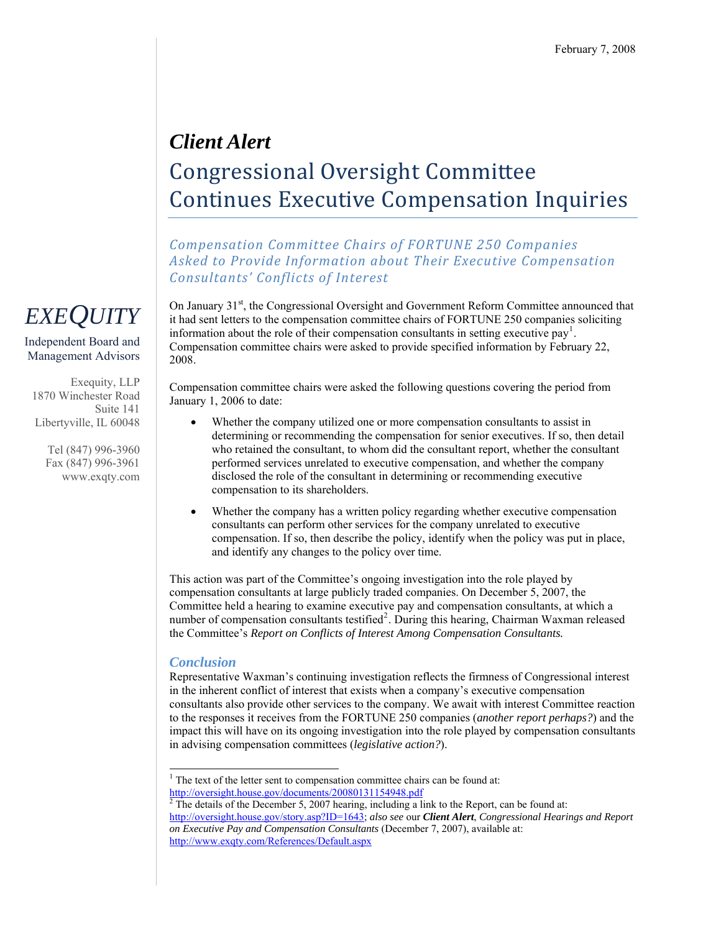## *Client Alert*  Congressional Oversight Committee Continues Executive Compensation Inquiries

*Compensation Committee Chairs of FORTUNE 250 Companies Asked to Provide Information about Their Executive Compensation Consultants' Conflicts of Interest*

On January  $31<sup>st</sup>$ , the Congressional Oversight and Government Reform Committee announced that it had sent letters to the compensation committee chairs of FORTUNE 250 companies soliciting information about the role of their compensation consultants in setting executive pay<sup>[1](#page-0-0)</sup>. Compensation committee chairs were asked to provide specified information by February 22, 2008.

Compensation committee chairs were asked the following questions covering the period from January 1, 2006 to date:

- Whether the company utilized one or more compensation consultants to assist in determining or recommending the compensation for senior executives. If so, then detail who retained the consultant, to whom did the consultant report, whether the consultant performed services unrelated to executive compensation, and whether the company disclosed the role of the consultant in determining or recommending executive compensation to its shareholders.
- Whether the company has a written policy regarding whether executive compensation consultants can perform other services for the company unrelated to executive compensation. If so, then describe the policy, identify when the policy was put in place, and identify any changes to the policy over time.

This action was part of the Committee's ongoing investigation into the role played by compensation consultants at large publicly traded companies. On December 5, 2007, the Committee held a hearing to examine executive pay and compensation consultants, at which a number of compensation consultants testified<sup>[2](#page-0-1)</sup>. During this hearing, Chairman Waxman released the Committee's *Report on Conflicts of Interest Among Compensation Consultants.*

## *Conclusion*

Representative Waxman's continuing investigation reflects the firmness of Congressional interest in the inherent conflict of interest that exists when a company's executive compensation consultants also provide other services to the company. We await with interest Committee reaction to the responses it receives from the FORTUNE 250 companies (*another report perhaps?*) and the impact this will have on its ongoing investigation into the role played by compensation consultants in advising compensation committees (*legislative action?*).

## *EXEQUITY*

Independent Board and Management Advisors

Exequity, LLP 1870 Winchester Road Suite 141 Libertyville, IL 60048

> Tel (847) 996-3960 Fax (847) 996-3961 www.exqty.com

<span id="page-0-0"></span> $\overline{a}$  $1$ <sup>1</sup> The text of the letter sent to compensation committee chairs can be found at: <http://oversight.house.gov/documents/20080131154948.pdf> [2](http://oversight.house.gov/documents/20080131154948.pdf)

<span id="page-0-1"></span>The details of the December 5, 2007 hearing, including a link to the Report, can be found at: <http://oversight.house.gov/story.asp?ID=1643>; *also see* our *Client Alert*, *Congressional Hearings and Report on Executive Pay and Compensation Consultants* (December 7, 2007), available at: <http://www.exqty.com/References/Default.aspx>